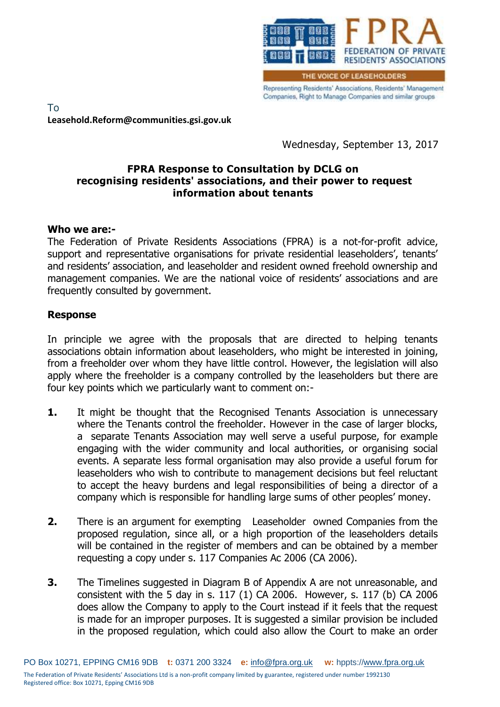

Representing Residents' Associations, Residents' Management Companies, Right to Manage Companies and similar groups

To **Leasehold.Reform@communities.gsi.gov.uk**

Wednesday, September 13, 2017

## **FPRA Response to Consultation by DCLG on recognising residents' associations, and their power to request information about tenants**

## **Who we are:-**

The Federation of Private Residents Associations (FPRA) is a not-for-profit advice, support and representative organisations for private residential leaseholders', tenants' and residents' association, and leaseholder and resident owned freehold ownership and management companies. We are the national voice of residents' associations and are frequently consulted by government.

## **Response**

In principle we agree with the proposals that are directed to helping tenants associations obtain information about leaseholders, who might be interested in joining, from a freeholder over whom they have little control. However, the legislation will also apply where the freeholder is a company controlled by the leaseholders but there are four key points which we particularly want to comment on:-

- **1.** It might be thought that the Recognised Tenants Association is unnecessary where the Tenants control the freeholder. However in the case of larger blocks, a separate Tenants Association may well serve a useful purpose, for example engaging with the wider community and local authorities, or organising social events. A separate less formal organisation may also provide a useful forum for leaseholders who wish to contribute to management decisions but feel reluctant to accept the heavy burdens and legal responsibilities of being a director of a company which is responsible for handling large sums of other peoples' money.
- **2.** There is an argument for exempting Leaseholder owned Companies from the proposed regulation, since all, or a high proportion of the leaseholders details will be contained in the register of members and can be obtained by a member requesting a copy under s. 117 Companies Ac 2006 (CA 2006).
- **3.** The Timelines suggested in Diagram B of Appendix A are not unreasonable, and consistent with the 5 day in s. 117 (1) CA 2006. However, s. 117 (b) CA 2006 does allow the Company to apply to the Court instead if it feels that the request is made for an improper purposes. It is suggested a similar provision be included in the proposed regulation, which could also allow the Court to make an order